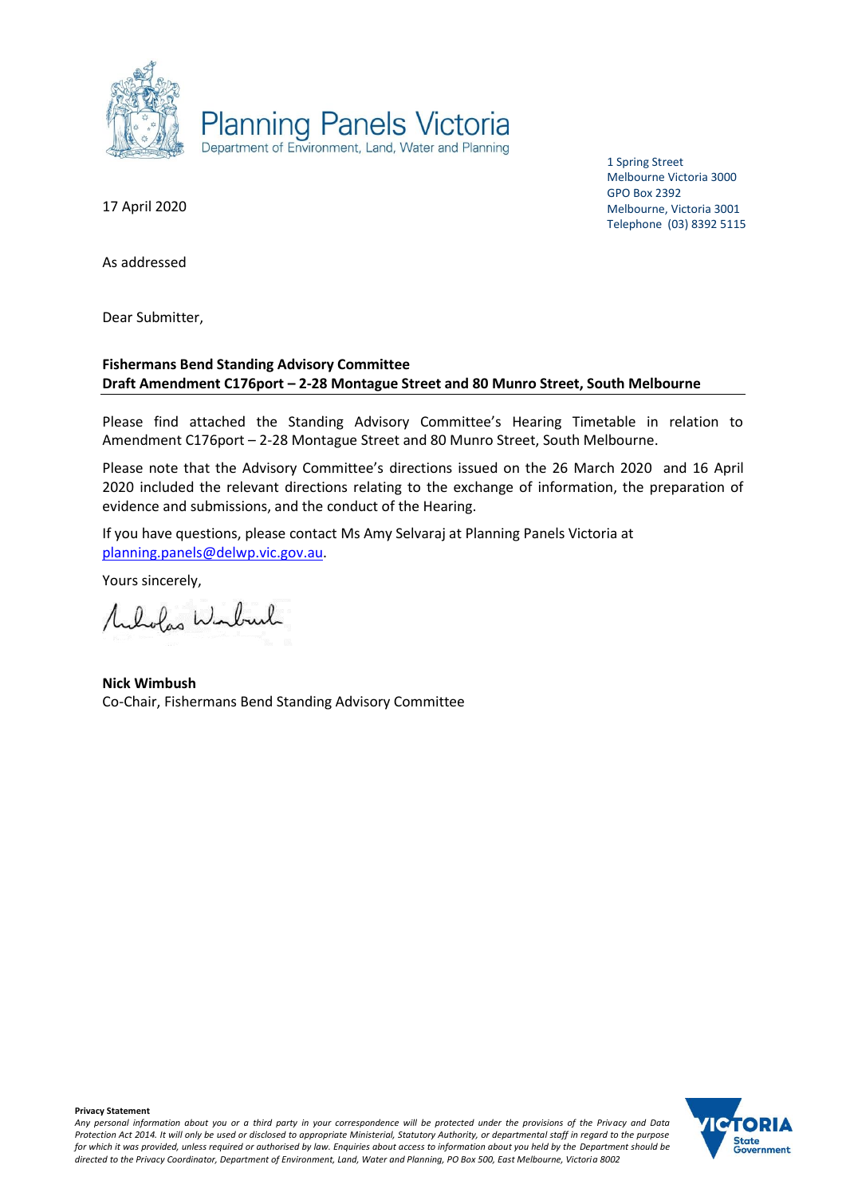

1 Spring Street Melbourne Victoria 3000 GPO Box 2392 Melbourne, Victoria 3001 Telephone (03) 8392 5115

17 April 2020

As addressed

Dear Submitter,

## **Fishermans Bend Standing Advisory Committee Draft Amendment C176port – 2-28 Montague Street and 80 Munro Street, South Melbourne**

Please find attached the Standing Advisory Committee's Hearing Timetable in relation to Amendment C176port – 2-28 Montague Street and 80 Munro Street, South Melbourne.

Please note that the Advisory Committee's directions issued on the 26 March 2020 and 16 April 2020 included the relevant directions relating to the exchange of information, the preparation of evidence and submissions, and the conduct of the Hearing.

If you have questions, please contact Ms Amy Selvaraj at Planning Panels Victoria at [planning.panels@delwp.vic.gov.au.](mailto:planning.panels@delwp.vic.gov.au)

Yours sincerely,

Mulvolas Winburk

**Nick Wimbush** Co-Chair, Fishermans Bend Standing Advisory Committee

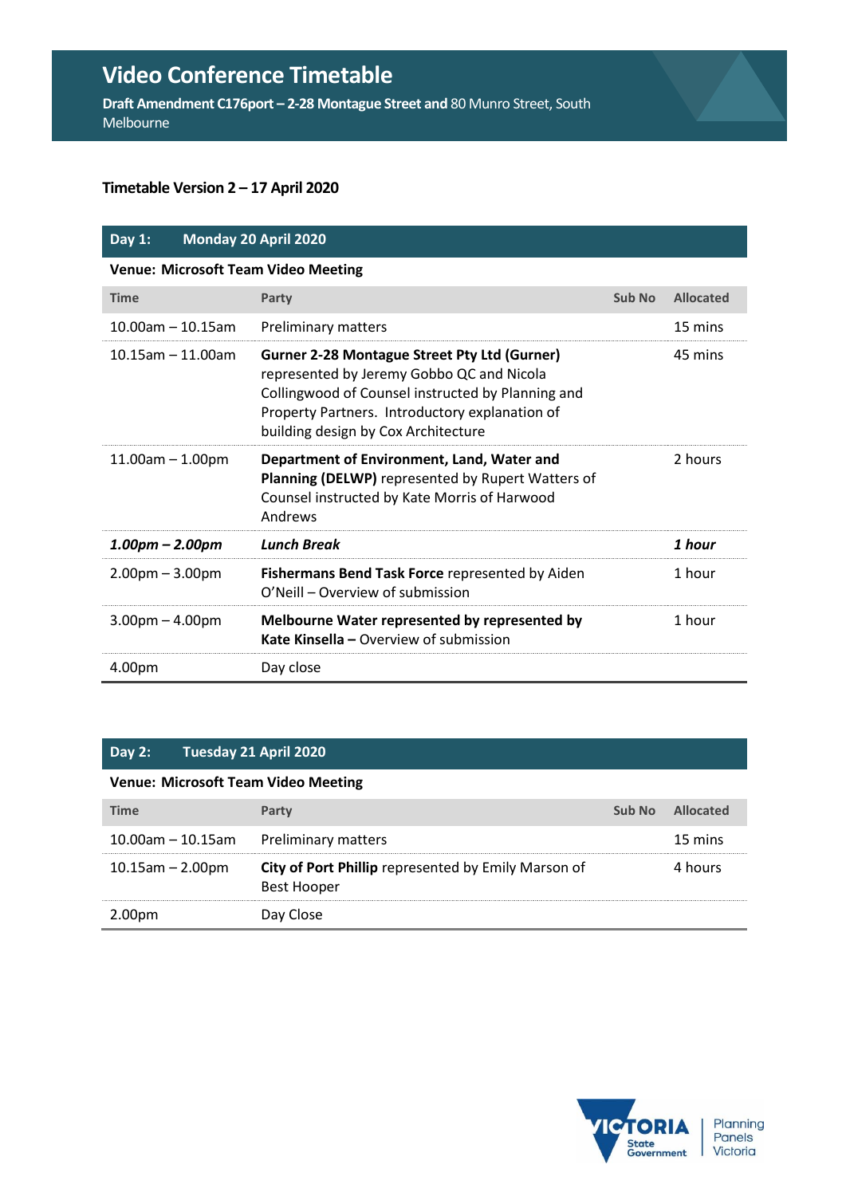# **Video Conference Timetable**

**Draft Amendment C176port – 2-28 Montague Street and** 80 Munro Street, South Melbourne

## **Timetable Version 2 – 17 April 2020**

# **Day 1: Monday 20 April 2020**

**Venue: Microsoft Team Video Meeting**

| <b>Time</b>            | Party                                                                                                                                                                                                                                          | Sub No | <b>Allocated</b> |
|------------------------|------------------------------------------------------------------------------------------------------------------------------------------------------------------------------------------------------------------------------------------------|--------|------------------|
| $10.00$ am - 10.15am   | Preliminary matters                                                                                                                                                                                                                            |        | 15 mins          |
| $10.15$ am $-11.00$ am | <b>Gurner 2-28 Montague Street Pty Ltd (Gurner)</b><br>represented by Jeremy Gobbo QC and Nicola<br>Collingwood of Counsel instructed by Planning and<br>Property Partners. Introductory explanation of<br>building design by Cox Architecture |        | 45 mins          |
| $11.00$ am $-1.00$ pm  | Department of Environment, Land, Water and<br>Planning (DELWP) represented by Rupert Watters of<br>Counsel instructed by Kate Morris of Harwood<br>Andrews                                                                                     |        | 2 hours          |
| $1.00pm - 2.00pm$      | <b>Lunch Break</b>                                                                                                                                                                                                                             |        | 1 hour           |
| $2.00pm - 3.00pm$      | Fishermans Bend Task Force represented by Aiden<br>O'Neill – Overview of submission                                                                                                                                                            |        | 1 hour           |
| $3.00pm - 4.00pm$      | Melbourne Water represented by represented by<br>Kate Kinsella – Overview of submission                                                                                                                                                        |        | 1 hour           |
| 4.00pm                 | Day close                                                                                                                                                                                                                                      |        |                  |

#### **Day 2: Tuesday 21 April 2020**

#### **Venue: Microsoft Team Video Meeting**

| <b>Time</b>             | Party                                                              | Sub No | Allocated |
|-------------------------|--------------------------------------------------------------------|--------|-----------|
| $10.00$ am - $10.15$ am | Preliminary matters                                                |        | 15 mins   |
| $10.15$ am $- 2.00$ pm  | City of Port Phillip represented by Emily Marson of<br>Best Hooper |        | 4 hours   |
| 2.00pm                  | Day Close                                                          |        |           |

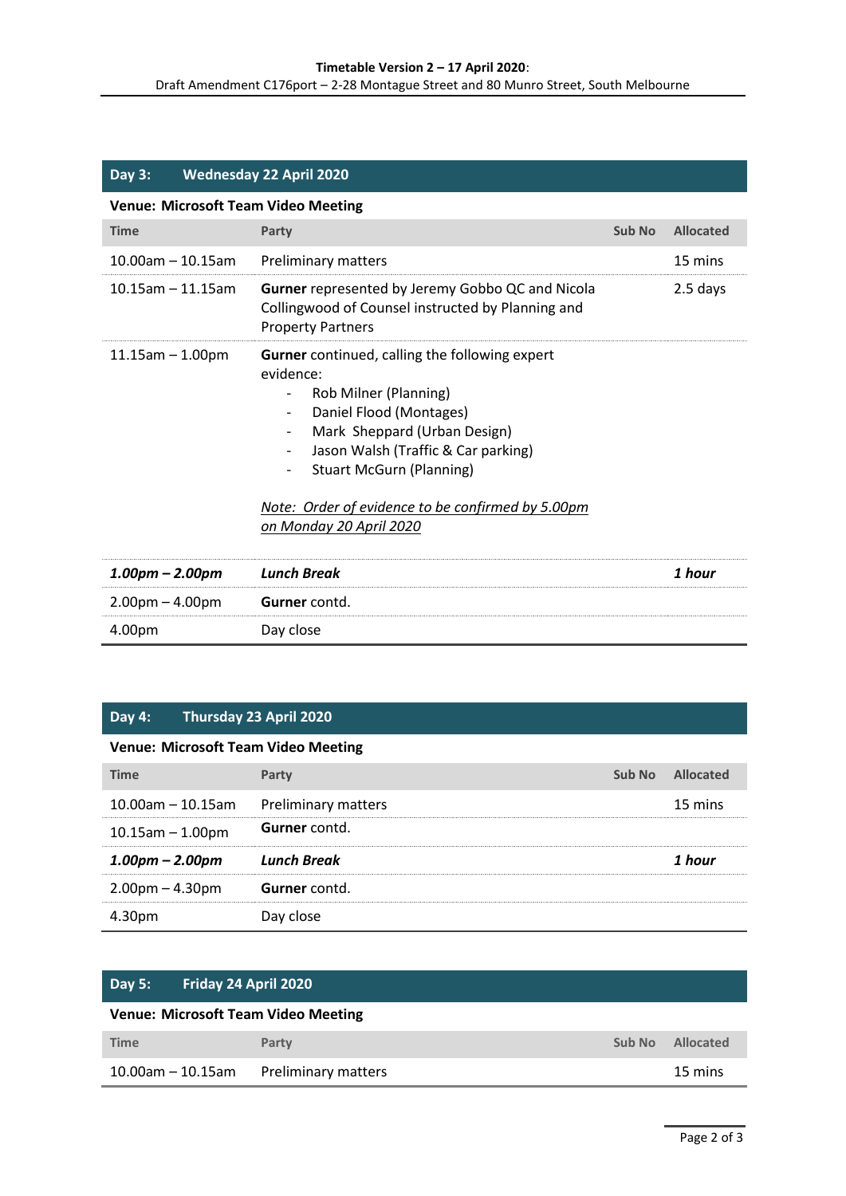| <b>Day 3:</b>                              |  | <b>Wednesday 22 April 2020</b>                                                                                                                                                                                                                                                                                                                                                                            |        |                  |
|--------------------------------------------|--|-----------------------------------------------------------------------------------------------------------------------------------------------------------------------------------------------------------------------------------------------------------------------------------------------------------------------------------------------------------------------------------------------------------|--------|------------------|
| <b>Venue: Microsoft Team Video Meeting</b> |  |                                                                                                                                                                                                                                                                                                                                                                                                           |        |                  |
| <b>Time</b>                                |  | Party                                                                                                                                                                                                                                                                                                                                                                                                     | Sub No | <b>Allocated</b> |
| $10.00$ am - 10.15am                       |  | Preliminary matters                                                                                                                                                                                                                                                                                                                                                                                       |        | 15 mins          |
| $10.15$ am - 11.15am                       |  | <b>Gurner</b> represented by Jeremy Gobbo QC and Nicola<br>Collingwood of Counsel instructed by Planning and<br><b>Property Partners</b>                                                                                                                                                                                                                                                                  |        | 2.5 days         |
| $11.15$ am $- 1.00$ pm                     |  | <b>Gurner</b> continued, calling the following expert<br>evidence:<br>Rob Milner (Planning)<br>-<br>Daniel Flood (Montages)<br>$\overline{\phantom{0}}$<br>Mark Sheppard (Urban Design)<br>$\overline{\phantom{0}}$<br>Jason Walsh (Traffic & Car parking)<br><b>Stuart McGurn (Planning)</b><br>$\overline{\phantom{0}}$<br>Note: Order of evidence to be confirmed by 5.00pm<br>on Monday 20 April 2020 |        |                  |
| $1.00$ pm – $2.00$ pm                      |  | <b>Lunch Break</b>                                                                                                                                                                                                                                                                                                                                                                                        |        | 1 hour           |
| $2.00pm - 4.00pm$                          |  | Gurner contd.                                                                                                                                                                                                                                                                                                                                                                                             |        |                  |
| 4.00pm                                     |  | Day close                                                                                                                                                                                                                                                                                                                                                                                                 |        |                  |

# **Day 4: Thursday 23 April 2020**

## **Venue: Microsoft Team Video Meeting**

| <b>Time</b>                           | Party                | Sub No Allocated |
|---------------------------------------|----------------------|------------------|
| 10.00am - 10.15am Preliminary matters |                      | 15 mins          |
| $10.15$ am $- 1.00$ pm                | <b>Gurner</b> contd. |                  |
| $1.00$ pm – 2.00pm                    | <b>Lunch Break</b>   | 1 hour           |
| $2.00$ pm $- 4.30$ pm                 | Gurner contd.        |                  |
| 4.30pm                                | Day close            |                  |

| Friday 24 April 2020<br>$\vert$ Day 5:     |                            |        |           |  |
|--------------------------------------------|----------------------------|--------|-----------|--|
| <b>Venue: Microsoft Team Video Meeting</b> |                            |        |           |  |
| <b>Time</b>                                | Party                      | Sub No | Allocated |  |
| $10.00$ am - 10.15am                       | <b>Preliminary matters</b> |        | 15 mins   |  |